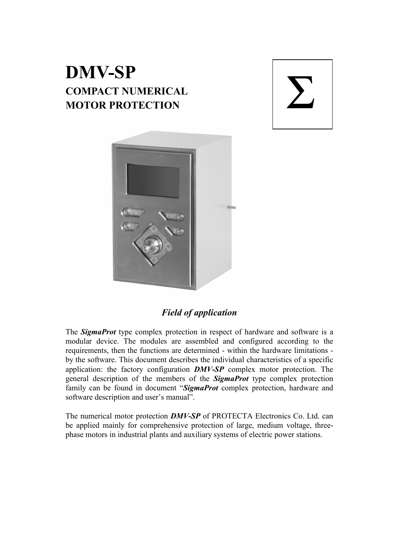# **DMV-SP COMPACT NUMERICAL MOTOR PROTECTION**





## *Field of application*

The *SigmaProt* type complex protection in respect of hardware and software is a modular device. The modules are assembled and configured according to the requirements, then the functions are determined - within the hardware limitations by the software. This document describes the individual characteristics of a specific application: the factory configuration *DMV-SP* complex motor protection. The general description of the members of the *SigmaProt* type complex protection family can be found in document "*SigmaProt* complex protection, hardware and software description and user's manual".

The numerical motor protection *DMV-SP* of PROTECTA Electronics Co. Ltd. can be applied mainly for comprehensive protection of large, medium voltage, threephase motors in industrial plants and auxiliary systems of electric power stations.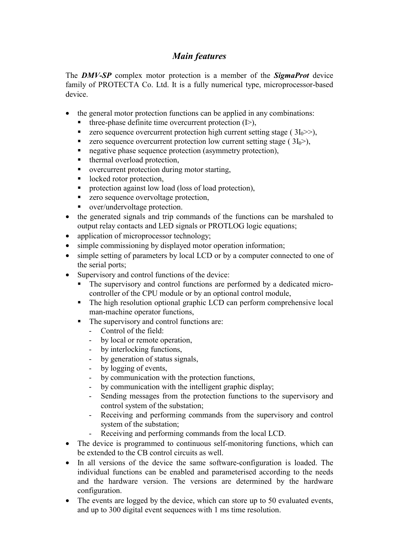# *Main features*

The *DMV-SP* complex motor protection is a member of the *SigmaProt* device family of PROTECTA Co. Ltd. It is a fully numerical type, microprocessor-based device.

- the general motor protection functions can be applied in any combinations:
	- three-phase definite time overcurrent protection (I>),
	- zero sequence overcurrent protection high current setting stage ( $3I_0 \gg$ ),
	- zero sequence overcurrent protection low current setting stage  $(3I_0>),$
	- negative phase sequence protection (asymmetry protection),
	- thermal overload protection,
	- overcurrent protection during motor starting,
	- locked rotor protection,
	- **Peromeetion against low load (loss of load protection),**
	- zero sequence overvoltage protection,
	- over/undervoltage protection.
- the generated signals and trip commands of the functions can be marshaled to output relay contacts and LED signals or PROTLOG logic equations;
- application of microprocessor technology;
- simple commissioning by displayed motor operation information;
- simple setting of parameters by local LCD or by a computer connected to one of the serial ports;
- Supervisory and control functions of the device:
	- The supervisory and control functions are performed by a dedicated microcontroller of the CPU module or by an optional control module,
	- The high resolution optional graphic LCD can perform comprehensive local man-machine operator functions,
	- The supervisory and control functions are:
		- Control of the field:
		- by local or remote operation,
		- by interlocking functions,
		- by generation of status signals,
		- by logging of events,
		- by communication with the protection functions,
		- by communication with the intelligent graphic display;
		- Sending messages from the protection functions to the supervisory and control system of the substation;
		- Receiving and performing commands from the supervisory and control system of the substation;
		- Receiving and performing commands from the local LCD.
- The device is programmed to continuous self-monitoring functions, which can be extended to the CB control circuits as well.
- In all versions of the device the same software-configuration is loaded. The individual functions can be enabled and parameterised according to the needs and the hardware version. The versions are determined by the hardware configuration.
- The events are logged by the device, which can store up to 50 evaluated events, and up to 300 digital event sequences with 1 ms time resolution.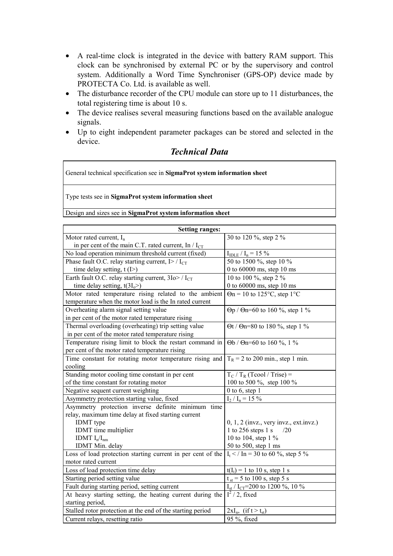- A real-time clock is integrated in the device with battery RAM support. This clock can be synchronised by external PC or by the supervisory and control system. Additionally a Word Time Synchroniser (GPS-OP) device made by PROTECTA Co. Ltd. is available as well.
- The disturbance recorder of the CPU module can store up to 11 disturbances, the total registering time is about 10 s.
- The device realises several measuring functions based on the available analogue signals.
- Up to eight independent parameter packages can be stored and selected in the device.

#### *Technical Data*

General technical specification see in **SigmaProt system information sheet**

Type tests see in **SigmaProt system information sheet**

Design and sizes see in **SigmaProt system information sheet**

| <b>Setting ranges:</b>                                                                                               |                                                 |
|----------------------------------------------------------------------------------------------------------------------|-------------------------------------------------|
| Motor rated current, $I_n$                                                                                           | 30 to 120 %, step 2 %                           |
| in per cent of the main C.T. rated current, In / $I_{CT}$                                                            |                                                 |
| No load operation minimum threshold current (fixed)                                                                  | $I_{IDLE} / I_n = 15 \%$                        |
| Phase fault O.C. relay starting current, $I$ > / $I_{CT}$                                                            | 50 to 1500 %, step 10 %                         |
| time delay setting, $t(I>)$                                                                                          | 0 to 60000 ms, step 10 ms                       |
| Earth fault O.C. relay starting current, $3I_0$ / $I_{CT}$                                                           | 10 to 100 %, step 2 %                           |
| time delay setting, $t(3I_0>)$                                                                                       | 0 to 60000 ms, step 10 ms                       |
| Motor rated temperature rising related to the ambient                                                                | $\Theta$ n = 10 to 125°C, step 1°C              |
| temperature when the motor load is the In rated current                                                              |                                                 |
| Overheating alarm signal setting value                                                                               | $\Theta p / \Theta n = 60$ to 160 %, step 1 %   |
| in per cent of the motor rated temperature rising                                                                    |                                                 |
| Thermal overloading (overheating) trip setting value                                                                 | $\Theta t$ / $\Theta n = 80$ to 180 %, step 1 % |
| in per cent of the motor rated temperature rising                                                                    |                                                 |
| Temperature rising limit to block the restart command in                                                             | $\Theta b / \Theta n = 60$ to 160 %, 1 %        |
| per cent of the motor rated temperature rising                                                                       |                                                 |
| Time constant for rotating motor temperature rising and                                                              | $T_R$ = 2 to 200 min., step 1 min.              |
| cooling                                                                                                              |                                                 |
| Standing motor cooling time constant in per cent                                                                     | $T_C$ / $T_R$ (Tcool / Trise) =                 |
| of the time constant for rotating motor                                                                              | 100 to 500 %, step 100 %                        |
| Negative sequent current weighting                                                                                   | $0$ to $6$ , step $1$                           |
| Asymmetry protection starting value, fixed                                                                           | $I_2 / I_n = 15 \%$                             |
| Asymmetry protection inverse definite minimum time                                                                   |                                                 |
| relay, maximum time delay at fixed starting current                                                                  |                                                 |
| <b>IDMT</b> type                                                                                                     | $0, 1, 2$ (invz., very invz., ext.invz.)        |
| IDMT time multiplier                                                                                                 | 1 to 256 steps $1$ s<br>/20                     |
| IDMT $I_n/I_{nm}$                                                                                                    | 10 to 104, step 1 %                             |
| IDMT Min. delay                                                                                                      | 50 to 500, step 1 ms                            |
| Loss of load protection starting current in per cent of the                                                          | $I_t$ < / In = 30 to 60 %, step 5 %             |
| motor rated current                                                                                                  |                                                 |
| Loss of load protection time delay                                                                                   | $t(I_t) = 1$ to 10 s, step 1 s                  |
| Starting period setting value                                                                                        | $t_{st}$ = 5 to 100 s, step 5 s                 |
| Fault during starting period, setting current                                                                        | $I_{st}$ / $I_{CT}$ =200 to 1200 %, 10 %        |
| At heavy starting setting, the heating current during the $\left[ \frac{1^2}{2} \right]$ , fixed<br>starting period, |                                                 |
| Stalled rotor protection at the end of the starting period                                                           | $2xI_n$ , (if $t > t_{st}$ )                    |
| Current relays, resetting ratio                                                                                      | 95 %, fixed                                     |
|                                                                                                                      |                                                 |